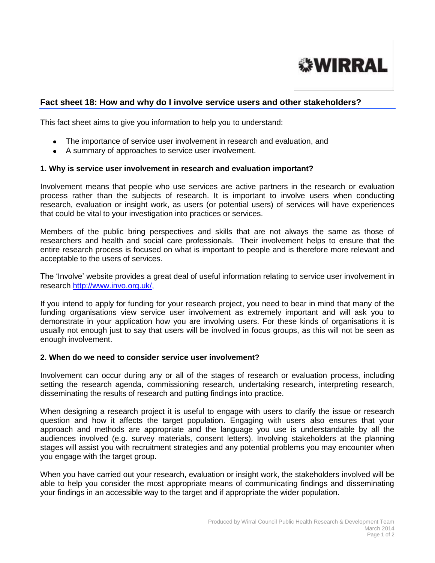

# **Fact sheet 18: How and why do I involve service users and other stakeholders?**

This fact sheet aims to give you information to help you to understand:

- The importance of service user involvement in research and evaluation, and
- A summary of approaches to service user involvement.

#### **1. Why is service user involvement in research and evaluation important?**

Involvement means that people who use services are active partners in the research or evaluation process rather than the subjects of research. It is important to involve users when conducting research, evaluation or insight work, as users (or potential users) of services will have experiences that could be vital to your investigation into practices or services.

Members of the public bring perspectives and skills that are not always the same as those of researchers and health and social care professionals. Their involvement helps to ensure that the entire research process is focused on what is important to people and is therefore more relevant and acceptable to the users of services.

The 'Involve' website provides a great deal of useful information relating to service user involvement in research [http://www.invo.org.uk/,](http://www.invo.org.uk/)

If you intend to apply for funding for your research project, you need to bear in mind that many of the funding organisations view service user involvement as extremely important and will ask you to demonstrate in your application how you are involving users. For these kinds of organisations it is usually not enough just to say that users will be involved in focus groups, as this will not be seen as enough involvement.

#### **2. When do we need to consider service user involvement?**

Involvement can occur during any or all of the stages of research or evaluation process, including setting the research agenda, commissioning research, undertaking research, interpreting research, disseminating the results of research and putting findings into practice.

When designing a research project it is useful to engage with users to clarify the issue or research question and how it affects the target population. Engaging with users also ensures that your approach and methods are appropriate and the language you use is understandable by all the audiences involved (e.g. survey materials, consent letters). Involving stakeholders at the planning stages will assist you with recruitment strategies and any potential problems you may encounter when you engage with the target group.

When you have carried out your research, evaluation or insight work, the stakeholders involved will be able to help you consider the most appropriate means of communicating findings and disseminating your findings in an accessible way to the target and if appropriate the wider population.